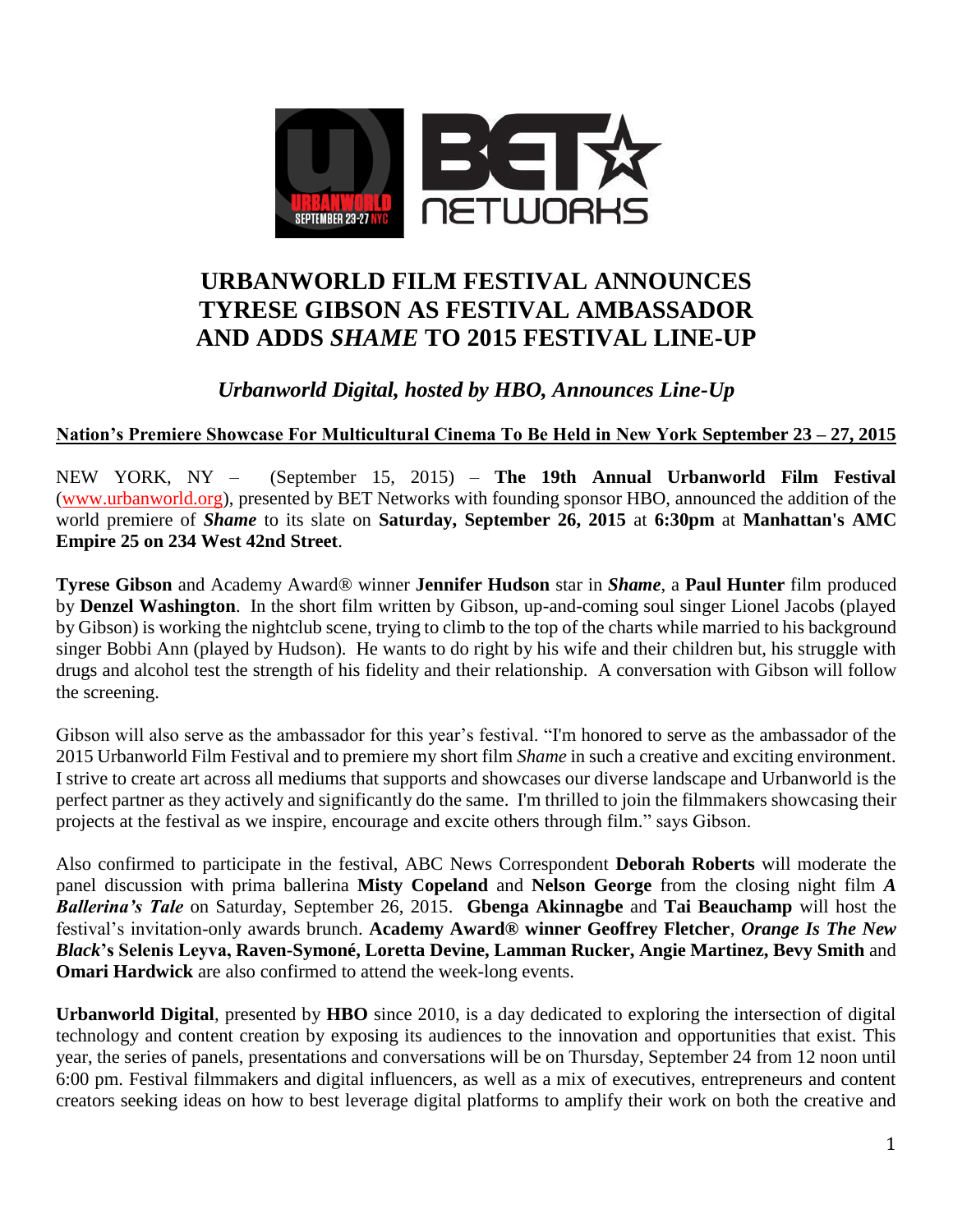

## **URBANWORLD FILM FESTIVAL ANNOUNCES TYRESE GIBSON AS FESTIVAL AMBASSADOR AND ADDS** *SHAME* **TO 2015 FESTIVAL LINE-UP**

*Urbanworld Digital, hosted by HBO, Announces Line-Up*

**Nation's Premiere Showcase For Multicultural Cinema To Be Held in New York September 23 – 27, 2015**

NEW YORK, NY – (September 15, 2015) – **The 19th Annual Urbanworld Film Festival**  [\(www.urbanworld.org\)](http://www.urbanworld.org/), presented by BET Networks with founding sponsor HBO, announced the addition of the world premiere of *Shame* to its slate on **Saturday, September 26, 2015** at **6:30pm** at **Manhattan's AMC Empire 25 on 234 West 42nd Street**.

**Tyrese Gibson** and Academy Award® winner **Jennifer Hudson** star in *Shame*, a **Paul Hunter** film produced by **Denzel Washington**. In the short film written by Gibson, up-and-coming soul singer Lionel Jacobs (played by Gibson) is working the nightclub scene, trying to climb to the top of the charts while married to his background singer Bobbi Ann (played by Hudson). He wants to do right by his wife and their children but, his struggle with drugs and alcohol test the strength of his fidelity and their relationship. A conversation with Gibson will follow the screening.

Gibson will also serve as the ambassador for this year's festival. "I'm honored to serve as the ambassador of the 2015 Urbanworld Film Festival and to premiere my short film *Shame* in such a creative and exciting environment. I strive to create art across all mediums that supports and showcases our diverse landscape and Urbanworld is the perfect partner as they actively and significantly do the same. I'm thrilled to join the filmmakers showcasing their projects at the festival as we inspire, encourage and excite others through film." says Gibson.

Also confirmed to participate in the festival, ABC News Correspondent **Deborah Roberts** will moderate the panel discussion with prima ballerina **Misty Copeland** and **Nelson George** from the closing night film *A Ballerina's Tale* on Saturday, September 26, 2015. **Gbenga Akinnagbe** and **Tai Beauchamp** will host the festival's invitation-only awards brunch. **Academy Award® winner Geoffrey Fletcher**, *Orange Is The New Black***'s Selenis Leyva, Raven-Symoné, Loretta Devine, Lamman Rucker, Angie Martinez, Bevy Smith** and **Omari Hardwick** are also confirmed to attend the week-long events.

**Urbanworld Digital**, presented by **HBO** since 2010, is a day dedicated to exploring the intersection of digital technology and content creation by exposing its audiences to the innovation and opportunities that exist. This year, the series of panels, presentations and conversations will be on Thursday, September 24 from 12 noon until 6:00 pm. Festival filmmakers and digital influencers, as well as a mix of executives, entrepreneurs and content creators seeking ideas on how to best leverage digital platforms to amplify their work on both the creative and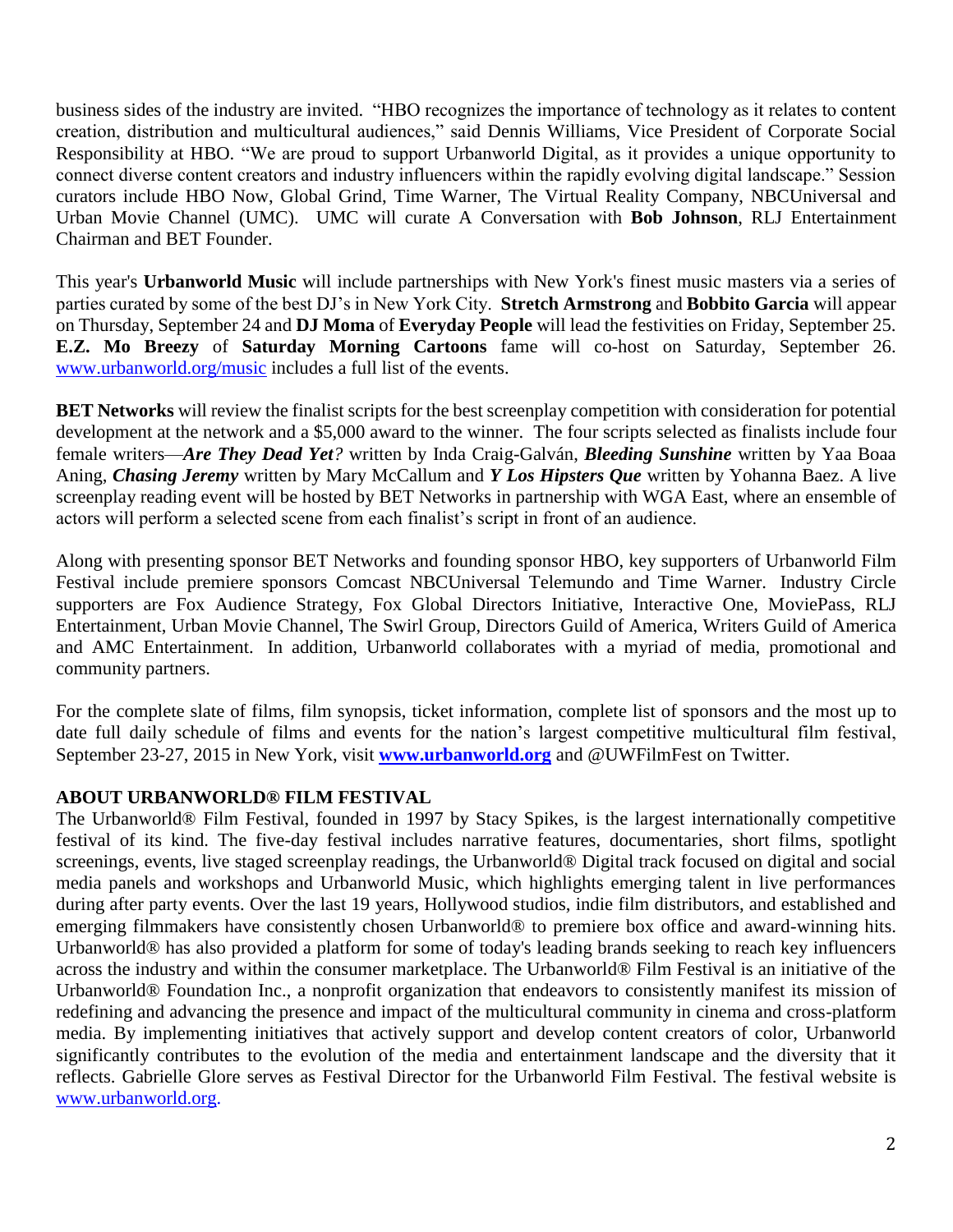business sides of the industry are invited. "HBO recognizes the importance of technology as it relates to content creation, distribution and multicultural audiences," said Dennis Williams, Vice President of Corporate Social Responsibility at HBO. "We are proud to support Urbanworld Digital, as it provides a unique opportunity to connect diverse content creators and industry influencers within the rapidly evolving digital landscape." Session curators include HBO Now, Global Grind, Time Warner, The Virtual Reality Company, NBCUniversal and Urban Movie Channel (UMC). UMC will curate A Conversation with **Bob Johnson**, RLJ Entertainment Chairman and BET Founder.

This year's **Urbanworld Music** will include partnerships with New York's finest music masters via a series of parties curated by some of the best DJ's in New York City. **Stretch Armstrong** and **Bobbito Garcia** will appear on Thursday, September 24 and **DJ Moma** of **Everyday People** will lead the festivities on Friday, September 25. **E.Z. Mo Breezy** of **Saturday Morning Cartoons** fame will co-host on Saturday, September 26. [www.urbanworld.org/music](http://www.urbanworld.org/music) includes a full list of the events.

**BET Networks** will review the finalist scripts for the best screenplay competition with consideration for potential development at the network and a \$5,000 award to the winner. The four scripts selected as finalists include four female writers—*Are They Dead Yet?* written by Inda Craig-Galván, *Bleeding Sunshine* written by Yaa Boaa Aning, *Chasing Jeremy* written by Mary McCallum and *Y Los Hipsters Que* written by Yohanna Baez. A live screenplay reading event will be hosted by BET Networks in partnership with WGA East, where an ensemble of actors will perform a selected scene from each finalist's script in front of an audience.

Along with presenting sponsor BET Networks and founding sponsor HBO, key supporters of Urbanworld Film Festival include premiere sponsors Comcast NBCUniversal Telemundo and Time Warner. Industry Circle supporters are Fox Audience Strategy, Fox Global Directors Initiative, Interactive One, MoviePass, RLJ Entertainment, Urban Movie Channel, The Swirl Group, Directors Guild of America, Writers Guild of America and AMC Entertainment. In addition, Urbanworld collaborates with a myriad of media, promotional and community partners.

For the complete slate of films, film synopsis, ticket information, complete list of sponsors and the most up to date full daily schedule of films and events for the nation's largest competitive multicultural film festival, September 23-27, 2015 in New York, visit **[www.urbanworld.org](http://www.urbanworld.org/)** and @UWFilmFest on Twitter.

## **ABOUT URBANWORLD® FILM FESTIVAL**

The Urbanworld® Film Festival, founded in 1997 by Stacy Spikes, is the largest internationally competitive festival of its kind. The five-day festival includes narrative features, documentaries, short films, spotlight screenings, events, live staged screenplay readings, the Urbanworld® Digital track focused on digital and social media panels and workshops and Urbanworld Music, which highlights emerging talent in live performances during after party events. Over the last 19 years, Hollywood studios, indie film distributors, and established and emerging filmmakers have consistently chosen Urbanworld® to premiere box office and award-winning hits. Urbanworld® has also provided a platform for some of today's leading brands seeking to reach key influencers across the industry and within the consumer marketplace. The Urbanworld® Film Festival is an initiative of the Urbanworld<sup>®</sup> Foundation Inc., a nonprofit organization that endeavors to consistently manifest its mission of redefining and advancing the presence and impact of the multicultural community in cinema and cross-platform media. By implementing initiatives that actively support and develop content creators of color, Urbanworld significantly contributes to the evolution of the media and entertainment landscape and the diversity that it reflects. Gabrielle Glore serves as Festival Director for the Urbanworld Film Festival. The festival website is [www.urbanworld.org.](http://www.urbanworld.org/)